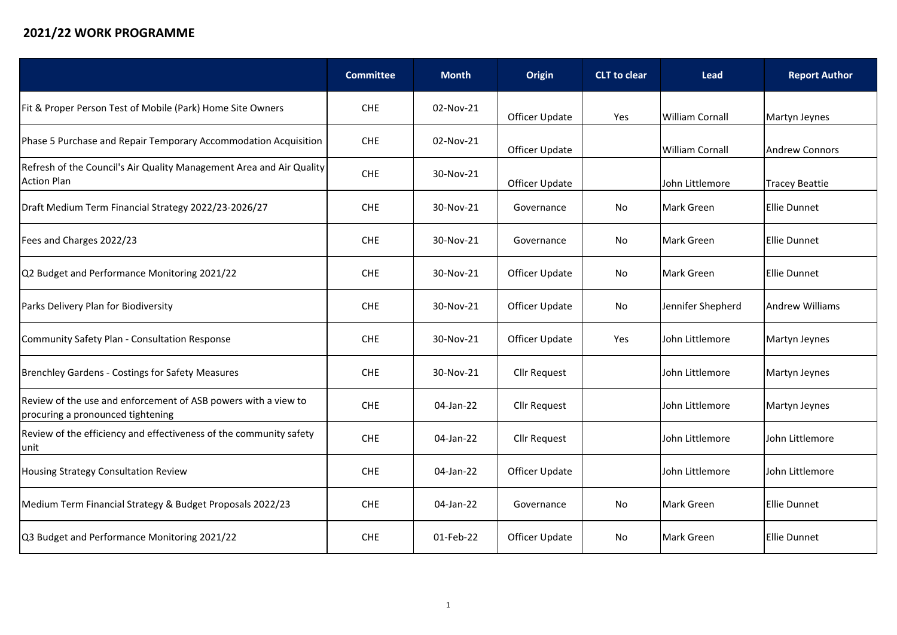## **2021/22 WORK PROGRAMME**

|                                                                                                     | <b>Committee</b> | <b>Month</b> | Origin              | <b>CLT</b> to clear | <b>Lead</b>            | <b>Report Author</b>   |
|-----------------------------------------------------------------------------------------------------|------------------|--------------|---------------------|---------------------|------------------------|------------------------|
| Fit & Proper Person Test of Mobile (Park) Home Site Owners                                          | <b>CHE</b>       | 02-Nov-21    | Officer Update      | Yes                 | <b>William Cornall</b> | Martyn Jeynes          |
| Phase 5 Purchase and Repair Temporary Accommodation Acquisition                                     | <b>CHE</b>       | 02-Nov-21    | Officer Update      |                     | <b>William Cornall</b> | Andrew Connors         |
| Refresh of the Council's Air Quality Management Area and Air Quality<br><b>Action Plan</b>          | <b>CHE</b>       | 30-Nov-21    | Officer Update      |                     | John Littlemore        | <b>Tracey Beattie</b>  |
| Draft Medium Term Financial Strategy 2022/23-2026/27                                                | <b>CHE</b>       | 30-Nov-21    | Governance          | No                  | Mark Green             | <b>Ellie Dunnet</b>    |
| Fees and Charges 2022/23                                                                            | <b>CHE</b>       | 30-Nov-21    | Governance          | No                  | <b>Mark Green</b>      | <b>Ellie Dunnet</b>    |
| Q2 Budget and Performance Monitoring 2021/22                                                        | <b>CHE</b>       | 30-Nov-21    | Officer Update      | No                  | <b>Mark Green</b>      | <b>Ellie Dunnet</b>    |
| Parks Delivery Plan for Biodiversity                                                                | <b>CHE</b>       | 30-Nov-21    | Officer Update      | No                  | Jennifer Shepherd      | <b>Andrew Williams</b> |
| Community Safety Plan - Consultation Response                                                       | <b>CHE</b>       | 30-Nov-21    | Officer Update      | Yes                 | lJohn Littlemore       | Martyn Jeynes          |
| <b>Brenchley Gardens - Costings for Safety Measures</b>                                             | <b>CHE</b>       | 30-Nov-21    | <b>Cllr Request</b> |                     | lJohn Littlemore       | Martyn Jeynes          |
| Review of the use and enforcement of ASB powers with a view to<br>procuring a pronounced tightening | <b>CHE</b>       | 04-Jan-22    | <b>Cllr Request</b> |                     | John Littlemore        | Martyn Jeynes          |
| Review of the efficiency and effectiveness of the community safety<br>unit                          | <b>CHE</b>       | 04-Jan-22    | Cllr Request        |                     | John Littlemore        | John Littlemore        |
| Housing Strategy Consultation Review                                                                | <b>CHE</b>       | 04-Jan-22    | Officer Update      |                     | John Littlemore        | John Littlemore        |
| Medium Term Financial Strategy & Budget Proposals 2022/23                                           | <b>CHE</b>       | 04-Jan-22    | Governance          | No                  | <b>Mark Green</b>      | <b>Ellie Dunnet</b>    |
| Q3 Budget and Performance Monitoring 2021/22                                                        | <b>CHE</b>       | 01-Feb-22    | Officer Update      | No                  | <b>Mark Green</b>      | Ellie Dunnet           |